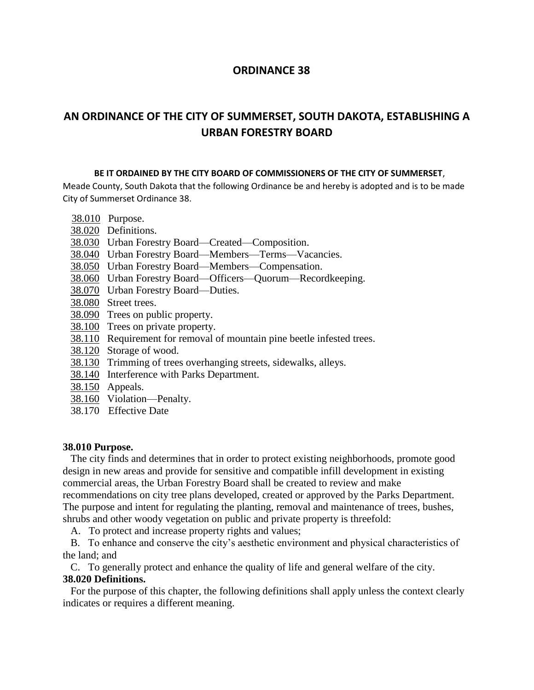## **ORDINANCE 38**

# **AN ORDINANCE OF THE CITY OF SUMMERSET, SOUTH DAKOTA, ESTABLISHING A URBAN FORESTRY BOARD**

#### **BE IT ORDAINED BY THE CITY BOARD OF COMMISSIONERS OF THE CITY OF SUMMERSET**,

Meade County, South Dakota that the following Ordinance be and hereby is adopted and is to be made City of Summerset Ordinance 38.

- 38.010 Purpose.
- 38.020 Definitions.
- 38.030 Urban Forestry Board—Created—Composition.
- 38.040 Urban Forestry Board—Members—Terms—Vacancies.
- 38.050 Urban Forestry Board—Members—Compensation.
- 38.060 Urban Forestry Board—Officers—Quorum—Recordkeeping.
- 38.070 Urban Forestry Board—Duties.
- 38.080 Street trees.
- 38.090 Trees on public property.
- 38.100 Trees on private property.
- 38.110 Requirement for removal of mountain pine beetle infested trees.
- 38.120 Storage of wood.
- 38.130 Trimming of trees overhanging streets, sidewalks, alleys.
- 38.140 Interference with Parks Department.
- 38.150 Appeals.
- 38.160 Violation—Penalty.
- 38.170 Effective Date

#### **38.010 Purpose.**

The city finds and determines that in order to protect existing neighborhoods, promote good design in new areas and provide for sensitive and compatible infill development in existing commercial areas, the Urban Forestry Board shall be created to review and make recommendations on city tree plans developed, created or approved by the Parks Department. The purpose and intent for regulating the planting, removal and maintenance of trees, bushes, shrubs and other woody vegetation on public and private property is threefold:

A. To protect and increase property rights and values;

B. To enhance and conserve the city's aesthetic environment and physical characteristics of the land; and

C. To generally protect and enhance the quality of life and general welfare of the city. **38.020 Definitions.**

For the purpose of this chapter, the following definitions shall apply unless the context clearly indicates or requires a different meaning.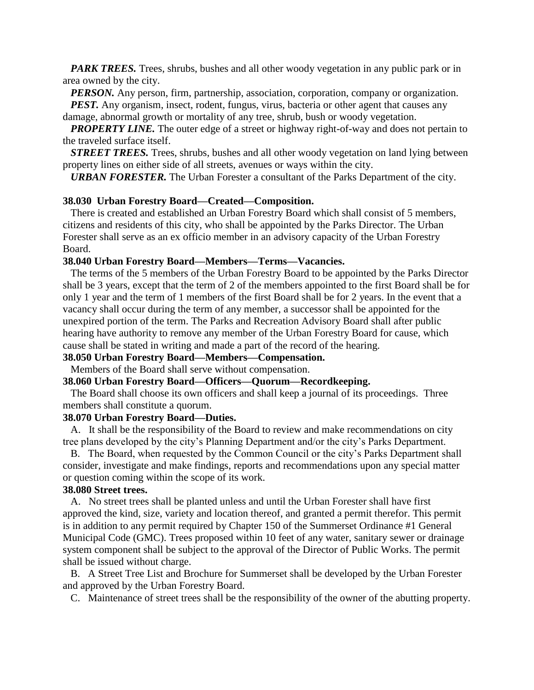*PARK TREES.* Trees, shrubs, bushes and all other woody vegetation in any public park or in area owned by the city.

*PERSON*. Any person, firm, partnership, association, corporation, company or organization.

*PEST.* Any organism, insect, rodent, fungus, virus, bacteria or other agent that causes any damage, abnormal growth or mortality of any tree, shrub, bush or woody vegetation.

*PROPERTY LINE*. The outer edge of a street or highway right-of-way and does not pertain to the traveled surface itself.

*STREET TREES.* Trees, shrubs, bushes and all other woody vegetation on land lying between property lines on either side of all streets, avenues or ways within the city.

*URBAN FORESTER.* The Urban Forester a consultant of the Parks Department of the city.

#### **38.030 Urban Forestry Board—Created—Composition.**

There is created and established an Urban Forestry Board which shall consist of 5 members, citizens and residents of this city, who shall be appointed by the Parks Director. The Urban Forester shall serve as an ex officio member in an advisory capacity of the Urban Forestry Board.

#### **38.040 Urban Forestry Board—Members—Terms—Vacancies.**

The terms of the 5 members of the Urban Forestry Board to be appointed by the Parks Director shall be 3 years, except that the term of 2 of the members appointed to the first Board shall be for only 1 year and the term of 1 members of the first Board shall be for 2 years. In the event that a vacancy shall occur during the term of any member, a successor shall be appointed for the unexpired portion of the term. The Parks and Recreation Advisory Board shall after public hearing have authority to remove any member of the Urban Forestry Board for cause, which cause shall be stated in writing and made a part of the record of the hearing.

# **38.050 Urban Forestry Board—Members—Compensation.**

Members of the Board shall serve without compensation.

#### **38.060 Urban Forestry Board—Officers—Quorum—Recordkeeping.**

The Board shall choose its own officers and shall keep a journal of its proceedings. Three members shall constitute a quorum.

#### **38.070 Urban Forestry Board—Duties.**

A. It shall be the responsibility of the Board to review and make recommendations on city tree plans developed by the city's Planning Department and/or the city's Parks Department.

B. The Board, when requested by the Common Council or the city's Parks Department shall consider, investigate and make findings, reports and recommendations upon any special matter or question coming within the scope of its work.

### **38.080 Street trees.**

A. No street trees shall be planted unless and until the Urban Forester shall have first approved the kind, size, variety and location thereof, and granted a permit therefor. This permit is in addition to any permit required by Chapter 150 of the Summerset Ordinance #1 General Municipal Code (GMC). Trees proposed within 10 feet of any water, sanitary sewer or drainage system component shall be subject to the approval of the Director of Public Works. The permit shall be issued without charge.

B. A Street Tree List and Brochure for Summerset shall be developed by the Urban Forester and approved by the Urban Forestry Board.

C. Maintenance of street trees shall be the responsibility of the owner of the abutting property.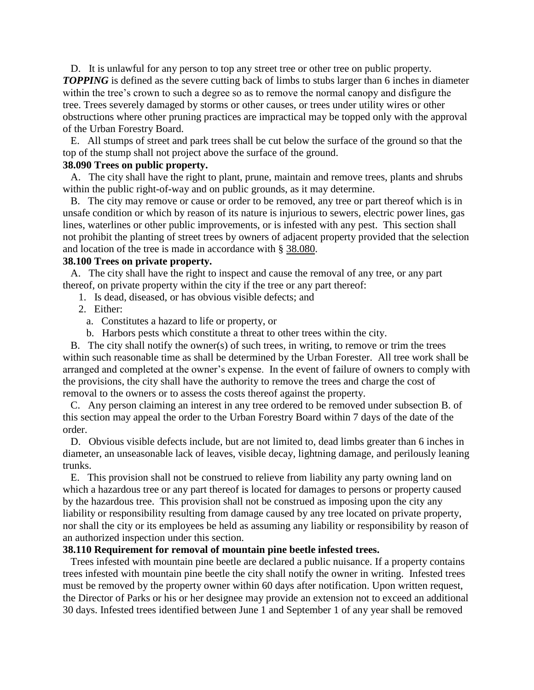D. It is unlawful for any person to top any street tree or other tree on public property. **TOPPING** is defined as the severe cutting back of limbs to stubs larger than 6 inches in diameter within the tree's crown to such a degree so as to remove the normal canopy and disfigure the tree. Trees severely damaged by storms or other causes, or trees under utility wires or other obstructions where other pruning practices are impractical may be topped only with the approval of the Urban Forestry Board.

E. All stumps of street and park trees shall be cut below the surface of the ground so that the top of the stump shall not project above the surface of the ground.

#### **38.090 Trees on public property.**

A. The city shall have the right to plant, prune, maintain and remove trees, plants and shrubs within the public right-of-way and on public grounds, as it may determine.

B. The city may remove or cause or order to be removed, any tree or part thereof which is in unsafe condition or which by reason of its nature is injurious to sewers, electric power lines, gas lines, waterlines or other public improvements, or is infested with any pest. This section shall not prohibit the planting of street trees by owners of adjacent property provided that the selection and location of the tree is made in accordance with § [38.080.](http://www.amlegal.com/nxt/gateway.dll?f=jumplink$jumplink_x=Advanced$jumplink_vpc=first$jumplink_xsl=querylink.xsl$jumplink_sel=title;path;content-type;home-title;item-bookmark$jumplink_d=south%20dakota%28rapidcity_sd%29$jumplink_q=%5bfield%20folio-destination-name:%2712.32.080%27%5d$jumplink_md=target-id=JD_12.32.080)

#### **38.100 Trees on private property.**

A. The city shall have the right to inspect and cause the removal of any tree, or any part thereof, on private property within the city if the tree or any part thereof:

- 1. Is dead, diseased, or has obvious visible defects; and
- 2. Either:
	- a. Constitutes a hazard to life or property, or
	- b. Harbors pests which constitute a threat to other trees within the city.

B. The city shall notify the owner(s) of such trees, in writing, to remove or trim the trees within such reasonable time as shall be determined by the Urban Forester. All tree work shall be arranged and completed at the owner's expense. In the event of failure of owners to comply with the provisions, the city shall have the authority to remove the trees and charge the cost of removal to the owners or to assess the costs thereof against the property.

C. Any person claiming an interest in any tree ordered to be removed under subsection B. of this section may appeal the order to the Urban Forestry Board within 7 days of the date of the order.

D. Obvious visible defects include, but are not limited to, dead limbs greater than 6 inches in diameter, an unseasonable lack of leaves, visible decay, lightning damage, and perilously leaning trunks.

E. This provision shall not be construed to relieve from liability any party owning land on which a hazardous tree or any part thereof is located for damages to persons or property caused by the hazardous tree. This provision shall not be construed as imposing upon the city any liability or responsibility resulting from damage caused by any tree located on private property, nor shall the city or its employees be held as assuming any liability or responsibility by reason of an authorized inspection under this section.

#### **38.110 Requirement for removal of mountain pine beetle infested trees.**

Trees infested with mountain pine beetle are declared a public nuisance. If a property contains trees infested with mountain pine beetle the city shall notify the owner in writing. Infested trees must be removed by the property owner within 60 days after notification. Upon written request, the Director of Parks or his or her designee may provide an extension not to exceed an additional 30 days. Infested trees identified between June 1 and September 1 of any year shall be removed